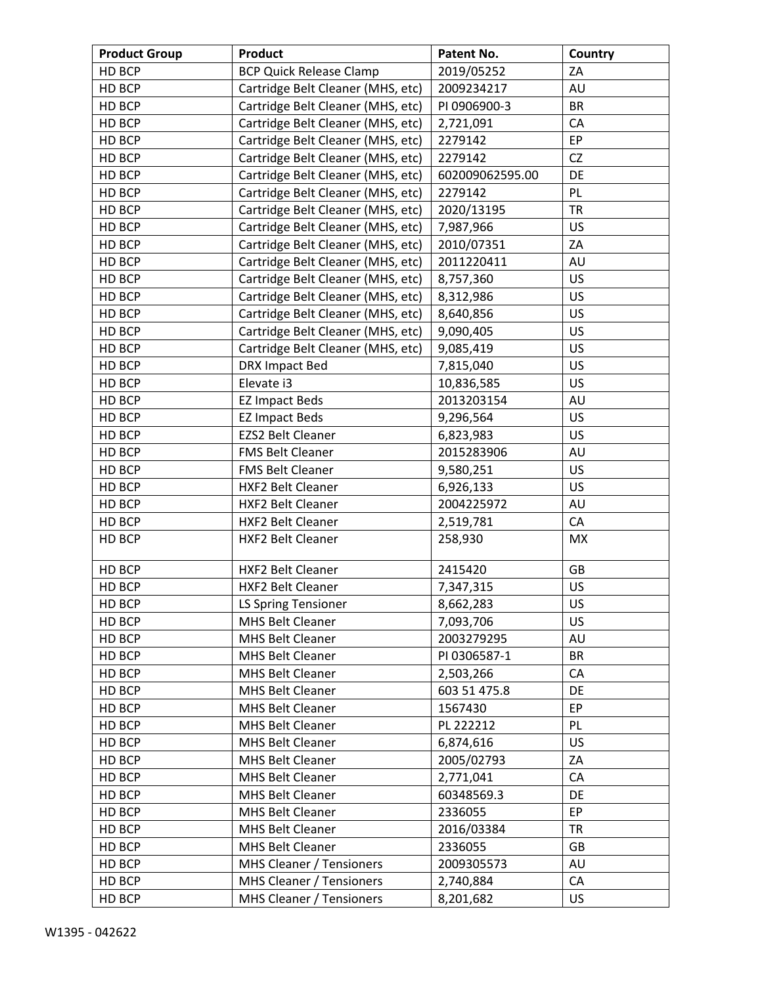| <b>Product Group</b> | <b>Product</b>                    | Patent No.      | Country   |
|----------------------|-----------------------------------|-----------------|-----------|
| HD BCP               | <b>BCP Quick Release Clamp</b>    | 2019/05252      | ZA        |
| HD BCP               | Cartridge Belt Cleaner (MHS, etc) | 2009234217      | AU        |
| HD BCP               | Cartridge Belt Cleaner (MHS, etc) | PI 0906900-3    | <b>BR</b> |
| HD BCP               | Cartridge Belt Cleaner (MHS, etc) | 2,721,091       | CA        |
| HD BCP               | Cartridge Belt Cleaner (MHS, etc) | 2279142         | EP        |
| HD BCP               | Cartridge Belt Cleaner (MHS, etc) | 2279142         | <b>CZ</b> |
| HD BCP               | Cartridge Belt Cleaner (MHS, etc) | 602009062595.00 | DE        |
| HD BCP               | Cartridge Belt Cleaner (MHS, etc) | 2279142         | PL        |
| HD BCP               | Cartridge Belt Cleaner (MHS, etc) | 2020/13195      | <b>TR</b> |
| HD BCP               | Cartridge Belt Cleaner (MHS, etc) | 7,987,966       | US        |
| HD BCP               | Cartridge Belt Cleaner (MHS, etc) | 2010/07351      | ZA        |
| HD BCP               | Cartridge Belt Cleaner (MHS, etc) | 2011220411      | AU        |
| HD BCP               | Cartridge Belt Cleaner (MHS, etc) | 8,757,360       | <b>US</b> |
| HD BCP               | Cartridge Belt Cleaner (MHS, etc) | 8,312,986       | US        |
| HD BCP               | Cartridge Belt Cleaner (MHS, etc) | 8,640,856       | <b>US</b> |
| HD BCP               | Cartridge Belt Cleaner (MHS, etc) | 9,090,405       | US        |
| HD BCP               | Cartridge Belt Cleaner (MHS, etc) | 9,085,419       | US        |
| HD BCP               | DRX Impact Bed                    | 7,815,040       | US        |
| HD BCP               | Elevate i3                        | 10,836,585      | US        |
| HD BCP               | <b>EZ Impact Beds</b>             | 2013203154      | AU        |
| HD BCP               | <b>EZ Impact Beds</b>             | 9,296,564       | <b>US</b> |
| HD BCP               | EZS2 Belt Cleaner                 | 6,823,983       | <b>US</b> |
| HD BCP               | FMS Belt Cleaner                  | 2015283906      | AU        |
| HD BCP               | FMS Belt Cleaner                  | 9,580,251       | <b>US</b> |
| HD BCP               | HXF2 Belt Cleaner                 | 6,926,133       | US        |
| HD BCP               | HXF2 Belt Cleaner                 | 2004225972      | AU        |
| HD BCP               | HXF2 Belt Cleaner                 | 2,519,781       | CA        |
| HD BCP               | HXF2 Belt Cleaner                 | 258,930         | <b>MX</b> |
| HD BCP               | HXF2 Belt Cleaner                 | 2415420         | <b>GB</b> |
| HD BCP               | HXF2 Belt Cleaner                 | 7,347,315       | US        |
| HD BCP               | LS Spring Tensioner               | 8,662,283       | US        |
| HD BCP               | MHS Belt Cleaner                  | 7,093,706       | <b>US</b> |
| HD BCP               | MHS Belt Cleaner                  | 2003279295      | AU        |
| HD BCP               | MHS Belt Cleaner                  | PI 0306587-1    | BR        |
| HD BCP               | <b>MHS Belt Cleaner</b>           | 2,503,266       | CA        |
| HD BCP               | MHS Belt Cleaner                  | 603 51 475.8    | DE        |
| HD BCP               | MHS Belt Cleaner                  | 1567430         | EP        |
| HD BCP               | MHS Belt Cleaner                  | PL 222212       | PL        |
| HD BCP               | MHS Belt Cleaner                  | 6,874,616       | <b>US</b> |
| HD BCP               | <b>MHS Belt Cleaner</b>           | 2005/02793      | ΖA        |
| HD BCP               | MHS Belt Cleaner                  | 2,771,041       | CA        |
| HD BCP               | <b>MHS Belt Cleaner</b>           | 60348569.3      | DE        |
| HD BCP               | MHS Belt Cleaner                  | 2336055         | EP        |
| HD BCP               | MHS Belt Cleaner                  | 2016/03384      | <b>TR</b> |
| HD BCP               | MHS Belt Cleaner                  | 2336055         | GB        |
| HD BCP               | MHS Cleaner / Tensioners          | 2009305573      | AU        |
| HD BCP               | MHS Cleaner / Tensioners          | 2,740,884       | CA        |
| HD BCP               | <b>MHS Cleaner / Tensioners</b>   | 8,201,682       | US.       |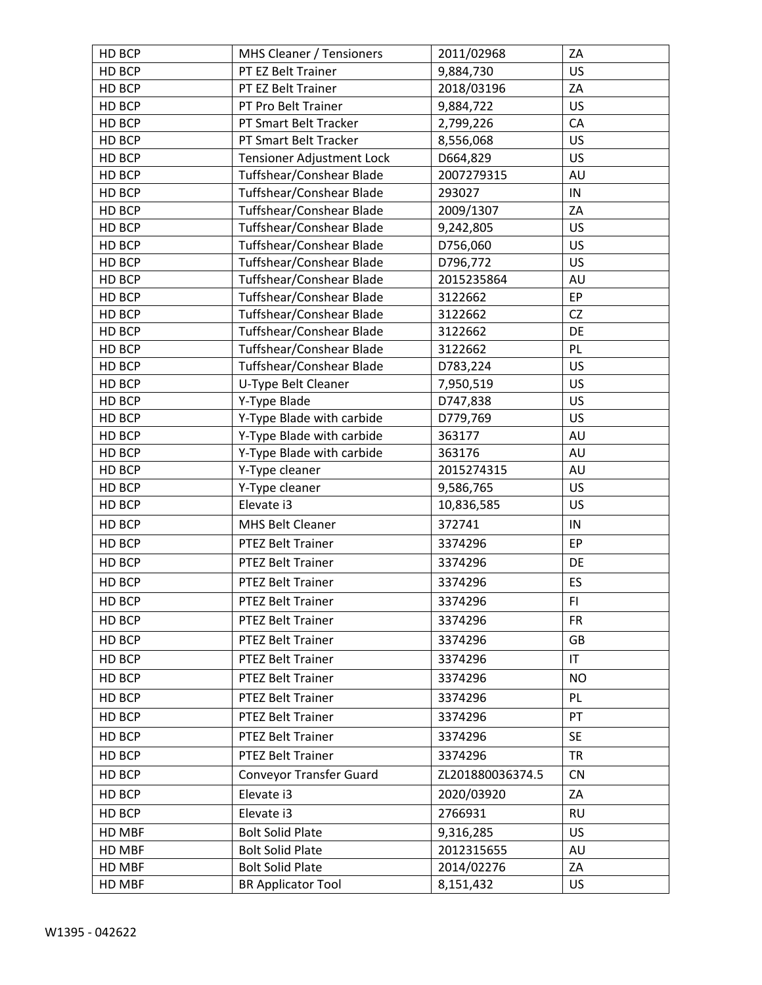| HD BCP | MHS Cleaner / Tensioners       | 2011/02968       | ZA                     |
|--------|--------------------------------|------------------|------------------------|
| HD BCP | PT EZ Belt Trainer             | 9,884,730        | <b>US</b>              |
| HD BCP | PT EZ Belt Trainer             | 2018/03196       | ZA                     |
| HD BCP | PT Pro Belt Trainer            | 9,884,722        | US                     |
| HD BCP | PT Smart Belt Tracker          | 2,799,226        | CA                     |
| HD BCP | PT Smart Belt Tracker          | 8,556,068        | US                     |
| HD BCP | Tensioner Adjustment Lock      | D664,829         | US                     |
| HD BCP | Tuffshear/Conshear Blade       | 2007279315       | AU                     |
| HD BCP | Tuffshear/Conshear Blade       | 293027           | IN                     |
| HD BCP | Tuffshear/Conshear Blade       | 2009/1307        | ZA                     |
| HD BCP | Tuffshear/Conshear Blade       | 9,242,805        | US                     |
| HD BCP | Tuffshear/Conshear Blade       | D756,060         | US                     |
| HD BCP | Tuffshear/Conshear Blade       | D796,772         | US                     |
| HD BCP | Tuffshear/Conshear Blade       | 2015235864       | AU                     |
| HD BCP | Tuffshear/Conshear Blade       | 3122662          | ${\sf EP}$             |
| HD BCP | Tuffshear/Conshear Blade       | 3122662          | <b>CZ</b>              |
| HD BCP | Tuffshear/Conshear Blade       | 3122662          | DE                     |
| HD BCP | Tuffshear/Conshear Blade       | 3122662          | PL                     |
| HD BCP | Tuffshear/Conshear Blade       | D783,224         | US                     |
| HD BCP | U-Type Belt Cleaner            | 7,950,519        | <b>US</b>              |
| HD BCP | Y-Type Blade                   | D747,838         | US                     |
| HD BCP | Y-Type Blade with carbide      | D779,769         | US                     |
| HD BCP | Y-Type Blade with carbide      | 363177           | AU                     |
| HD BCP | Y-Type Blade with carbide      | 363176           | AU                     |
| HD BCP | Y-Type cleaner                 | 2015274315       | AU                     |
| HD BCP | Y-Type cleaner                 | 9,586,765        | <b>US</b>              |
| HD BCP | Elevate i3                     | 10,836,585       | US                     |
| HD BCP | <b>MHS Belt Cleaner</b>        | 372741           | IN                     |
| HD BCP | PTEZ Belt Trainer              | 3374296          | EP                     |
| HD BCP | PTEZ Belt Trainer              | 3374296          | DE                     |
| HD BCP | PTEZ Belt Trainer              | 3374296          | <b>ES</b>              |
| HD BCP | PTEZ Belt Trainer              | 3374296          | F1                     |
| HD BCP | PTEZ Belt Trainer              | 3374296          | <b>FR</b>              |
| HD BCP | PTEZ Belt Trainer              | 3374296          | <b>GB</b>              |
| HD BCP | PTEZ Belt Trainer              | 3374296          | $\mathsf{I}\mathsf{T}$ |
| HD BCP | PTEZ Belt Trainer              | 3374296          | <b>NO</b>              |
| HD BCP | PTEZ Belt Trainer              | 3374296          | PL.                    |
| HD BCP | PTEZ Belt Trainer              | 3374296          | PT                     |
| HD BCP | PTEZ Belt Trainer              |                  | <b>SE</b>              |
|        |                                | 3374296          |                        |
| HD BCP | PTEZ Belt Trainer              | 3374296          | <b>TR</b>              |
| HD BCP | <b>Conveyor Transfer Guard</b> | ZL201880036374.5 | <b>CN</b>              |
| HD BCP | Elevate i3                     | 2020/03920       | ZA                     |
| HD BCP | Elevate i3                     | 2766931          | <b>RU</b>              |
| HD MBF | <b>Bolt Solid Plate</b>        | 9,316,285        | <b>US</b>              |
| HD MBF | <b>Bolt Solid Plate</b>        | 2012315655       | AU                     |
| HD MBF | <b>Bolt Solid Plate</b>        | 2014/02276       | ZA                     |
| HD MBF | <b>BR Applicator Tool</b>      | 8,151,432        | <b>US</b>              |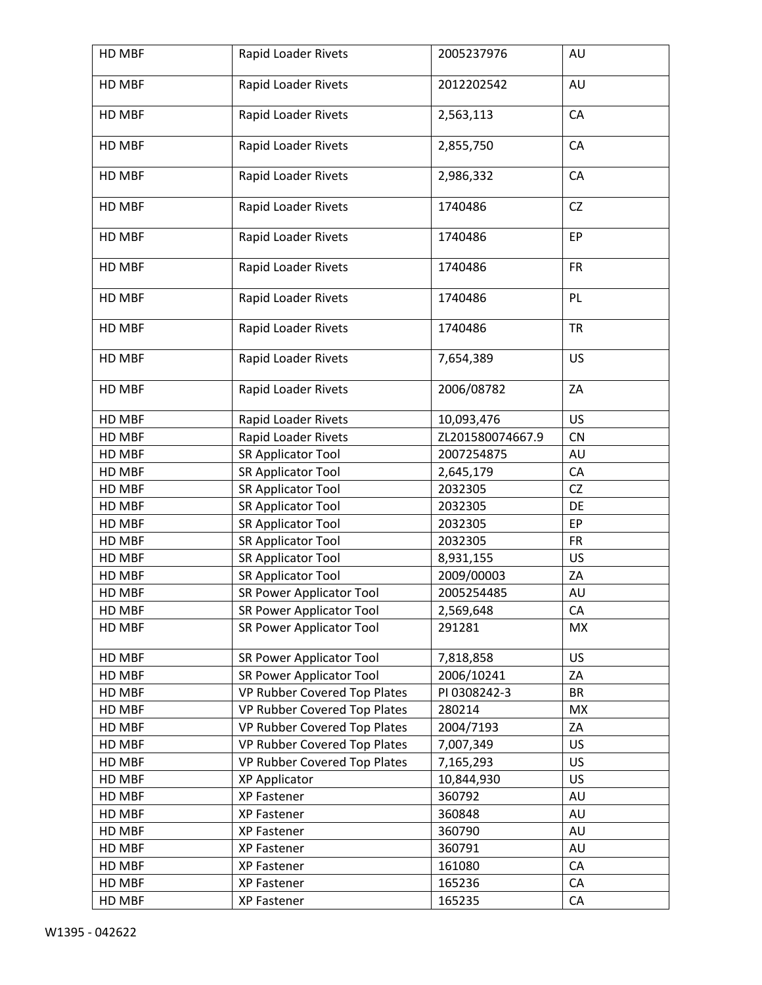| HD MBF | Rapid Loader Rivets             | 2005237976       | AU        |
|--------|---------------------------------|------------------|-----------|
| HD MBF | Rapid Loader Rivets             | 2012202542       | AU        |
| HD MBF | Rapid Loader Rivets             | 2,563,113        | CA        |
| HD MBF | Rapid Loader Rivets             | 2,855,750        | CA        |
| HD MBF | Rapid Loader Rivets             | 2,986,332        | CA        |
| HD MBF | Rapid Loader Rivets             | 1740486          | <b>CZ</b> |
| HD MBF | Rapid Loader Rivets             | 1740486          | EP        |
| HD MBF | Rapid Loader Rivets             | 1740486          | <b>FR</b> |
| HD MBF | Rapid Loader Rivets             | 1740486          | PL        |
| HD MBF | Rapid Loader Rivets             | 1740486          | <b>TR</b> |
| HD MBF | Rapid Loader Rivets             | 7,654,389        | US        |
| HD MBF | Rapid Loader Rivets             | 2006/08782       | ZA        |
| HD MBF | Rapid Loader Rivets             | 10,093,476       | US        |
| HD MBF | Rapid Loader Rivets             | ZL201580074667.9 | <b>CN</b> |
| HD MBF | <b>SR Applicator Tool</b>       | 2007254875       | AU        |
| HD MBF | SR Applicator Tool              | 2,645,179        | CA        |
| HD MBF | SR Applicator Tool              | 2032305          | <b>CZ</b> |
| HD MBF | <b>SR Applicator Tool</b>       | 2032305          | DE        |
| HD MBF | SR Applicator Tool              | 2032305          | EP        |
| HD MBF | SR Applicator Tool              | 2032305          | <b>FR</b> |
| HD MBF | SR Applicator Tool              | 8,931,155        | US        |
| HD MBF | <b>SR Applicator Tool</b>       | 2009/00003       | ZA        |
| HD MBF | <b>SR Power Applicator Tool</b> | 2005254485       | AU        |
| HD MBF | <b>SR Power Applicator Tool</b> | 2,569,648        | CA        |
| HD MBF | <b>SR Power Applicator Tool</b> | 291281           | MX        |
| HD MBF | SR Power Applicator Tool        | 7,818,858        | US        |
| HD MBF | <b>SR Power Applicator Tool</b> | 2006/10241       | ZA        |
| HD MBF | VP Rubber Covered Top Plates    | PI 0308242-3     | <b>BR</b> |
| HD MBF | VP Rubber Covered Top Plates    | 280214           | <b>MX</b> |
| HD MBF | VP Rubber Covered Top Plates    | 2004/7193        | ZA        |
| HD MBF | VP Rubber Covered Top Plates    | 7,007,349        | US        |
| HD MBF | VP Rubber Covered Top Plates    | 7,165,293        | US        |
| HD MBF | <b>XP Applicator</b>            | 10,844,930       | US        |
| HD MBF | XP Fastener                     | 360792           | AU        |
| HD MBF | XP Fastener                     | 360848           | AU        |
| HD MBF | XP Fastener                     | 360790           | AU        |
| HD MBF | XP Fastener                     | 360791           | AU        |
| HD MBF | XP Fastener                     | 161080           | CA        |
| HD MBF | XP Fastener                     | 165236           | CA        |
| HD MBF | XP Fastener                     | 165235           | CA        |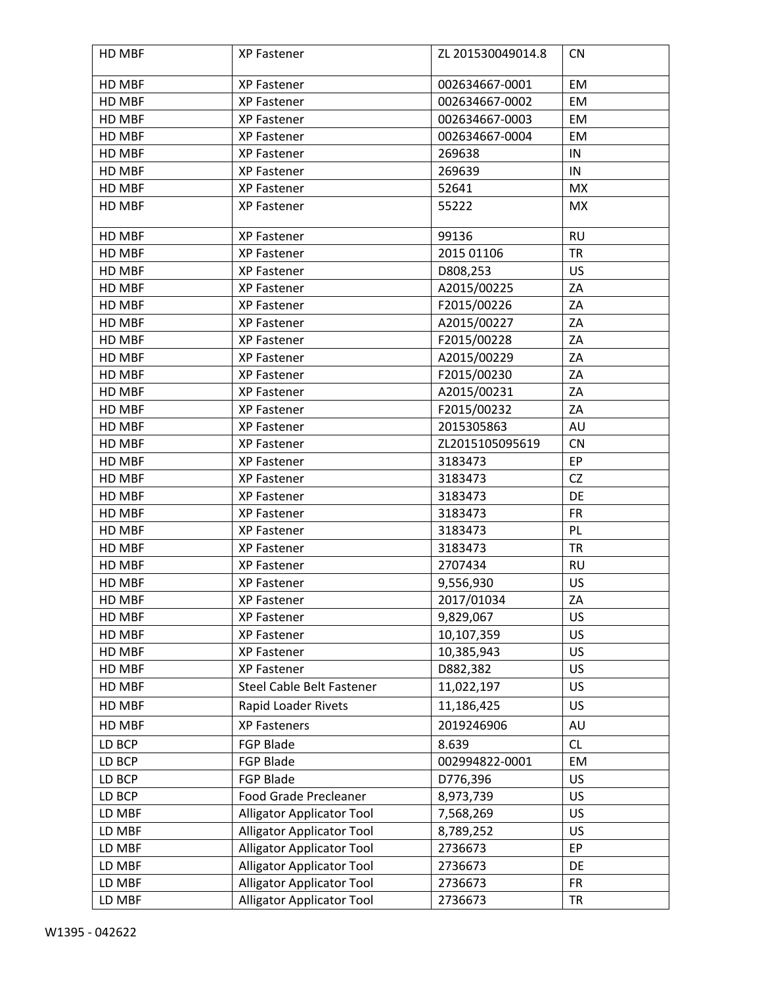| HD MBF | XP Fastener                      | ZL 201530049014.8 | <b>CN</b> |
|--------|----------------------------------|-------------------|-----------|
| HD MBF | XP Fastener                      | 002634667-0001    | EM        |
| HD MBF | XP Fastener                      | 002634667-0002    | EM        |
| HD MBF | XP Fastener                      | 002634667-0003    | EM        |
| HD MBF | XP Fastener                      | 002634667-0004    | EM        |
| HD MBF | XP Fastener                      | 269638            | IN        |
| HD MBF | XP Fastener                      | 269639            | IN        |
| HD MBF | XP Fastener                      | 52641             | <b>MX</b> |
| HD MBF | XP Fastener                      | 55222             | MX        |
| HD MBF | XP Fastener                      | 99136             | <b>RU</b> |
| HD MBF | XP Fastener                      | 2015 01106        | <b>TR</b> |
| HD MBF | XP Fastener                      | D808,253          | US        |
| HD MBF | <b>XP Fastener</b>               | A2015/00225       | ZA        |
| HD MBF | <b>XP Fastener</b>               | F2015/00226       | ZA        |
| HD MBF | XP Fastener                      | A2015/00227       | ZA        |
| HD MBF | <b>XP Fastener</b>               | F2015/00228       | ZA        |
| HD MBF | XP Fastener                      | A2015/00229       | ZA        |
| HD MBF | XP Fastener                      | F2015/00230       | ZA        |
| HD MBF | XP Fastener                      | A2015/00231       | ZA        |
| HD MBF | <b>XP Fastener</b>               | F2015/00232       | ZA        |
| HD MBF | XP Fastener                      | 2015305863        | AU        |
| HD MBF | XP Fastener                      | ZL2015105095619   | <b>CN</b> |
| HD MBF | XP Fastener                      | 3183473           | EP        |
| HD MBF | XP Fastener                      | 3183473           | CZ        |
| HD MBF | XP Fastener                      | 3183473           | DE        |
| HD MBF | XP Fastener                      | 3183473           | <b>FR</b> |
| HD MBF | XP Fastener                      | 3183473           | PL        |
| HD MBF | XP Fastener                      | 3183473           | <b>TR</b> |
| HD MBF | XP Fastener                      | 2707434           | <b>RU</b> |
| HD MBF | XP Fastener                      | 9,556,930         | US        |
| HD MBF | XP Fastener                      | 2017/01034        | ZA        |
| HD MBF | <b>XP Fastener</b>               | 9,829,067         | US        |
| HD MBF | XP Fastener                      | 10,107,359        | US        |
| HD MBF | <b>XP Fastener</b>               | 10,385,943        | US        |
| HD MBF | XP Fastener                      | D882,382          | US        |
| HD MBF | Steel Cable Belt Fastener        | 11,022,197        | <b>US</b> |
| HD MBF | Rapid Loader Rivets              | 11,186,425        | US        |
| HD MBF | <b>XP Fasteners</b>              | 2019246906        | AU        |
| LD BCP | <b>FGP Blade</b>                 | 8.639             | <b>CL</b> |
| LD BCP | FGP Blade                        | 002994822-0001    | EM        |
| LD BCP | <b>FGP Blade</b>                 | D776,396          | <b>US</b> |
| LD BCP | Food Grade Precleaner            | 8,973,739         | US        |
| LD MBF | <b>Alligator Applicator Tool</b> | 7,568,269         | US        |
| LD MBF | <b>Alligator Applicator Tool</b> | 8,789,252         | <b>US</b> |
| LD MBF | <b>Alligator Applicator Tool</b> | 2736673           | EP        |
| LD MBF | <b>Alligator Applicator Tool</b> | 2736673           | DE        |
| LD MBF | <b>Alligator Applicator Tool</b> | 2736673           | <b>FR</b> |
| LD MBF | <b>Alligator Applicator Tool</b> | 2736673           | <b>TR</b> |
|        |                                  |                   |           |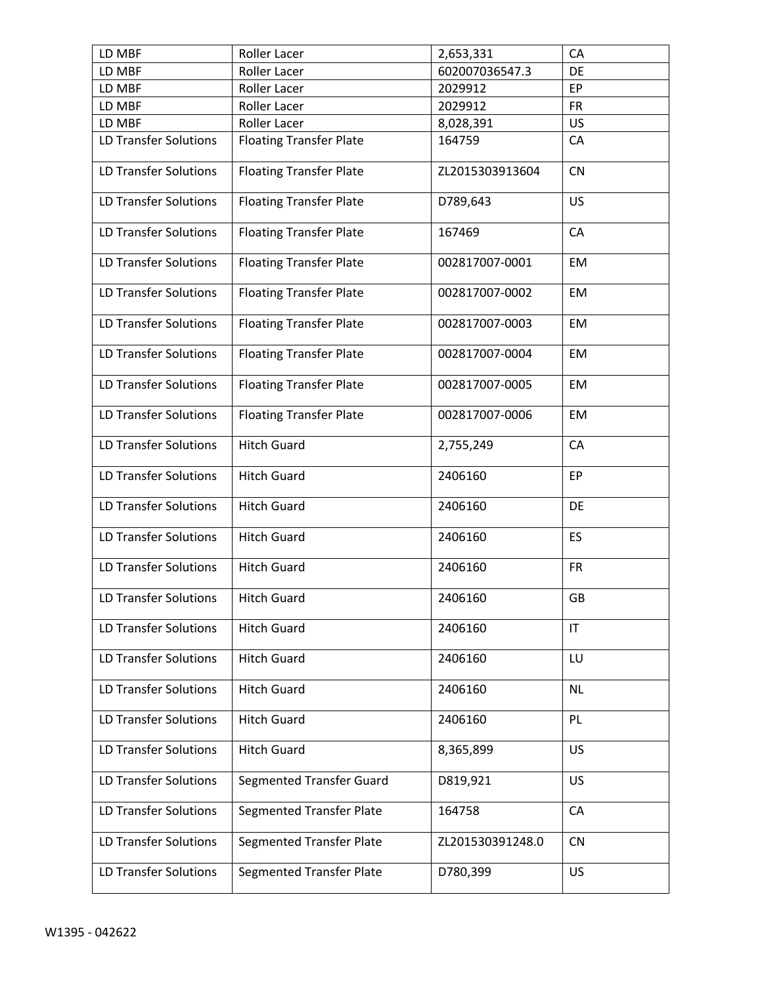| LD MBF                       | Roller Lacer                    | 2,653,331        | CA        |
|------------------------------|---------------------------------|------------------|-----------|
| LD MBF                       | Roller Lacer                    | 602007036547.3   | DE        |
| LD MBF                       | Roller Lacer                    | 2029912          | EP        |
| LD MBF                       | Roller Lacer                    | 2029912          | <b>FR</b> |
| LD MBF                       | Roller Lacer                    | 8,028,391        | <b>US</b> |
| LD Transfer Solutions        | <b>Floating Transfer Plate</b>  | 164759           | CA        |
| LD Transfer Solutions        | <b>Floating Transfer Plate</b>  | ZL2015303913604  | CN        |
| LD Transfer Solutions        | <b>Floating Transfer Plate</b>  | D789,643         | US        |
| <b>LD Transfer Solutions</b> | <b>Floating Transfer Plate</b>  | 167469           | CA        |
| LD Transfer Solutions        | <b>Floating Transfer Plate</b>  | 002817007-0001   | EM        |
| <b>LD Transfer Solutions</b> | <b>Floating Transfer Plate</b>  | 002817007-0002   | EM        |
| LD Transfer Solutions        | <b>Floating Transfer Plate</b>  | 002817007-0003   | EM        |
| LD Transfer Solutions        | <b>Floating Transfer Plate</b>  | 002817007-0004   | EM        |
| <b>LD Transfer Solutions</b> | <b>Floating Transfer Plate</b>  | 002817007-0005   | EM        |
| LD Transfer Solutions        | <b>Floating Transfer Plate</b>  | 002817007-0006   | EM        |
| <b>LD Transfer Solutions</b> | <b>Hitch Guard</b>              | 2,755,249        | CA        |
| <b>LD Transfer Solutions</b> | <b>Hitch Guard</b>              | 2406160          | EP        |
| <b>LD Transfer Solutions</b> | <b>Hitch Guard</b>              | 2406160          | DE        |
| LD Transfer Solutions        | <b>Hitch Guard</b>              | 2406160          | ES        |
| <b>LD Transfer Solutions</b> | <b>Hitch Guard</b>              | 2406160          | <b>FR</b> |
| LD Transfer Solutions        | Hitch Guard                     | 2406160          | GB        |
| <b>LD Transfer Solutions</b> | <b>Hitch Guard</b>              | 2406160          | IT        |
| LD Transfer Solutions        | <b>Hitch Guard</b>              | 2406160          | LU        |
| LD Transfer Solutions        | <b>Hitch Guard</b>              | 2406160          | <b>NL</b> |
| <b>LD Transfer Solutions</b> | <b>Hitch Guard</b>              | 2406160          | <b>PL</b> |
| <b>LD Transfer Solutions</b> | <b>Hitch Guard</b>              | 8,365,899        | <b>US</b> |
| LD Transfer Solutions        | Segmented Transfer Guard        | D819,921         | US        |
| LD Transfer Solutions        | <b>Segmented Transfer Plate</b> | 164758           | CA        |
| <b>LD Transfer Solutions</b> | <b>Segmented Transfer Plate</b> | ZL201530391248.0 | <b>CN</b> |
| <b>LD Transfer Solutions</b> | <b>Segmented Transfer Plate</b> | D780,399         | <b>US</b> |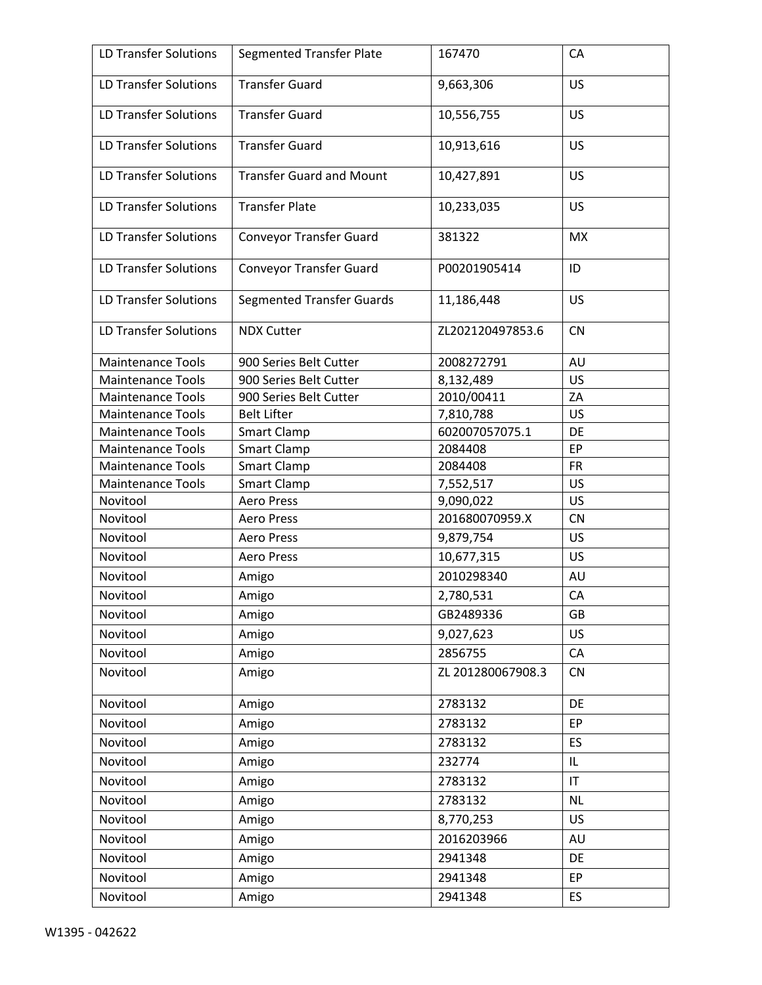| LD Transfer Solutions        | <b>Segmented Transfer Plate</b>  | 167470            | CA                     |
|------------------------------|----------------------------------|-------------------|------------------------|
| <b>LD Transfer Solutions</b> | <b>Transfer Guard</b>            | 9,663,306         | US                     |
| <b>LD Transfer Solutions</b> | <b>Transfer Guard</b>            | 10,556,755        | <b>US</b>              |
| LD Transfer Solutions        | <b>Transfer Guard</b>            | 10,913,616        | <b>US</b>              |
| LD Transfer Solutions        | <b>Transfer Guard and Mount</b>  | 10,427,891        | <b>US</b>              |
| LD Transfer Solutions        | <b>Transfer Plate</b>            | 10,233,035        | <b>US</b>              |
| <b>LD Transfer Solutions</b> | <b>Conveyor Transfer Guard</b>   | 381322            | <b>MX</b>              |
| LD Transfer Solutions        | <b>Conveyor Transfer Guard</b>   | P00201905414      | ID                     |
| <b>LD Transfer Solutions</b> | <b>Segmented Transfer Guards</b> | 11,186,448        | <b>US</b>              |
| LD Transfer Solutions        | <b>NDX Cutter</b>                | ZL202120497853.6  | <b>CN</b>              |
| <b>Maintenance Tools</b>     | 900 Series Belt Cutter           | 2008272791        | AU                     |
| <b>Maintenance Tools</b>     | 900 Series Belt Cutter           | 8,132,489         | <b>US</b>              |
| <b>Maintenance Tools</b>     | 900 Series Belt Cutter           | 2010/00411        | ZA                     |
| <b>Maintenance Tools</b>     | <b>Belt Lifter</b>               | 7,810,788         | US                     |
| <b>Maintenance Tools</b>     | Smart Clamp                      | 602007057075.1    | DE                     |
| <b>Maintenance Tools</b>     | Smart Clamp                      | 2084408           | EP                     |
| <b>Maintenance Tools</b>     | <b>Smart Clamp</b>               | 2084408           | <b>FR</b>              |
| <b>Maintenance Tools</b>     | Smart Clamp                      | 7,552,517         | US                     |
| Novitool                     | <b>Aero Press</b>                | 9,090,022         | <b>US</b>              |
| Novitool                     | <b>Aero Press</b>                | 201680070959.X    | <b>CN</b>              |
| Novitool                     | <b>Aero Press</b>                | 9,879,754         | US                     |
| Novitool                     | <b>Aero Press</b>                | 10,677,315        | <b>US</b>              |
| Novitool                     | Amigo                            | 2010298340        | AU                     |
| Novitool                     | Amigo                            | 2,780,531         | CA                     |
| Novitool                     | Amigo                            | GB2489336         | GB                     |
| Novitool                     | Amigo                            | 9,027,623         | <b>US</b>              |
| Novitool                     | Amigo                            | 2856755           | CA                     |
| Novitool                     | Amigo                            | ZL 201280067908.3 | <b>CN</b>              |
| Novitool                     | Amigo                            | 2783132           | DE                     |
| Novitool                     | Amigo                            | 2783132           | EP                     |
| Novitool                     | Amigo                            | 2783132           | <b>ES</b>              |
| Novitool                     | Amigo                            | 232774            | IL                     |
| Novitool                     | Amigo                            | 2783132           | $\mathsf{I}\mathsf{T}$ |
| Novitool                     | Amigo                            | 2783132           | <b>NL</b>              |
|                              |                                  |                   | US                     |
| Novitool                     | Amigo                            | 8,770,253         |                        |
| Novitool                     | Amigo                            | 2016203966        | AU                     |
| Novitool                     | Amigo                            | 2941348           | DE                     |
| Novitool                     | Amigo                            | 2941348           | EP                     |
| Novitool                     | Amigo                            | 2941348           | <b>ES</b>              |